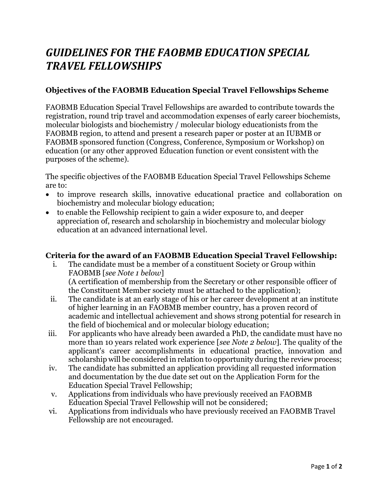# *GUIDELINES FOR THE FAOBMB EDUCATION SPECIAL TRAVEL FELLOWSHIPS*

## **Objectives of the FAOBMB Education Special Travel Fellowships Scheme**

FAOBMB Education Special Travel Fellowships are awarded to contribute towards the registration, round trip travel and accommodation expenses of early career biochemists, molecular biologists and biochemistry / molecular biology educationists from the FAOBMB region, to attend and present a research paper or poster at an IUBMB or FAOBMB sponsored function (Congress, Conference, Symposium or Workshop) on education (or any other approved Education function or event consistent with the purposes of the scheme).

The specific objectives of the FAOBMB Education Special Travel Fellowships Scheme are to:

- to improve research skills, innovative educational practice and collaboration on biochemistry and molecular biology education;
- to enable the Fellowship recipient to gain a wider exposure to, and deeper appreciation of, research and scholarship in biochemistry and molecular biology education at an advanced international level.

## **Criteria for the award of an FAOBMB Education Special Travel Fellowship:**

- i. The candidate must be a member of a constituent Society or Group within FAOBMB [*see Note 1 below*] (A certification of membership from the Secretary or other responsible officer of the Constituent Member society must be attached to the application);
- ii. The candidate is at an early stage of his or her career development at an institute of higher learning in an FAOBMB member country, has a proven record of academic and intellectual achievement and shows strong potential for research in the field of biochemical and or molecular biology education;
- iii. For applicants who have already been awarded a PhD, the candidate must have no more than 10 years related work experience [*see Note 2 below*]. The quality of the applicant's career accomplishments in educational practice, innovation and scholarship will be considered in relation to opportunity during the review process;
- iv. The candidate has submitted an application providing all requested information and documentation by the due date set out on the Application Form for the Education Special Travel Fellowship;
- v. Applications from individuals who have previously received an FAOBMB Education Special Travel Fellowship will not be considered;
- vi. Applications from individuals who have previously received an FAOBMB Travel Fellowship are not encouraged.